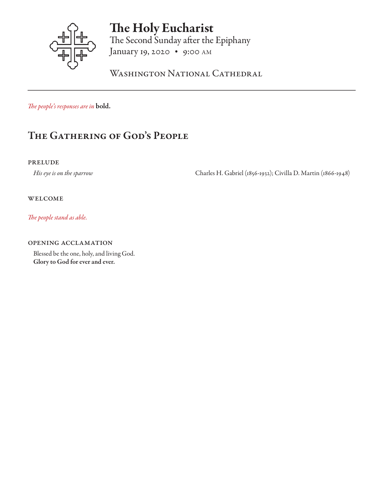

The Holy Eucharist The Second Sunday after the Epiphany January 19, 2020 • 9:00 AM

WASHINGTON NATIONAL CATHEDRAL

*The people's responses are in* bold.

# THE GATHERING OF GOD'S PEOPLE

**PRELUDE** 

*His eye is on the sparrow* Charles H. Gabriel (1856-1932); Civilla D. Martin (1866-1948)

welcome

*The people stand as able.* 

## opening acclamation

Blessed be the one, holy, and living God. Glory to God for ever and ever.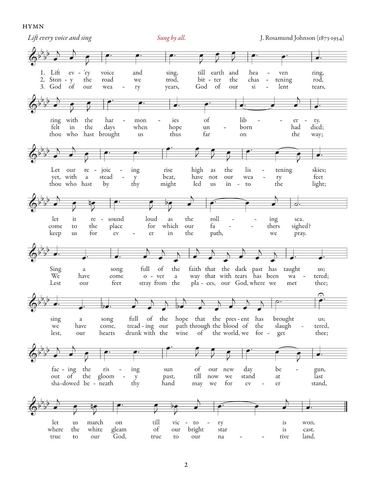#### **HYMN**

*Lift every voice and sing Sung by all.* Sung by all. J. Rosamund Johnson (1873-1954)  $\overline{\phantom{a}}$ 1. Lift  $ev -'ry$ voice and sing, till earth and hea ven ring, 2. Ston -  $y$ trod, bit - ter the chas tening the road we  $\frac{1}{2}$ rod, 3. God God of of our wea years, our  $\overline{si}$ lent tears, ry ◢ ring with the har of lib mon ies er ty. the days when hope had died: felt in un born thou who hast brought thus far the  $\overline{u}$ s on way;  $\bullet$  . joic high the lis tening skies; Let our  $re$ ing rise as yet, with stead have not feet beat, our wea  $\rm{a}$  $\overline{\phantom{a}}$ ry V thou who hast by thy led the might  $in$ light; us  $\sim$ to  $\overline{d}$ .  $\rm r\rm e$ loud roll  $let$ it sound as the ing sea. place for come to the which our fa thers sighed? keep  $\overline{u}$ for ev er in the path, we pray.  $\sigma$ the faith that the dark past has Sing  $\rm{a}$ song full taught us; We have come  $o - ver$ a way that with tears has been wa tered;  $\overline{a}$ Lest feet stray from the pla - ces, our God, where we thee; our met  $\overline{\rho}$ . sing song full of the hope that the pres-ent has brought  $\rm{a}$ us; we have come, tread - ing our path through the blood of the slaugh tered, lest, our hearts drunk with the wine  $\sigma$ the world, we for get thee; the  $fac - ing$ ris ing sun of our new day be gun, out of the gloom till *last* past, now we stand at y sha-dowed be - neath thy hand for may we  $ev$  $er$ stand, till let march **us** on vic  $\rm{to}$ is won. ry  $\sigma$ where the white gleam bright is cast. our star true to our God, true to our na tive land.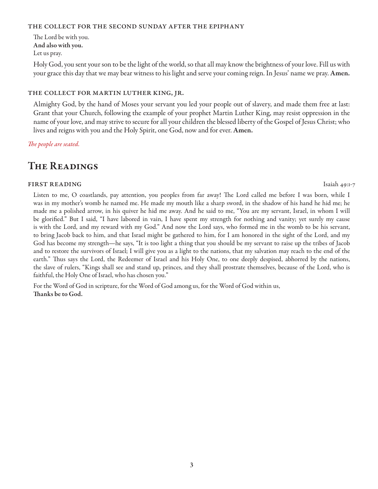## the collect for the second sunday after the epiphany

The Lord be with you. And also with you. Let us pray.

Holy God, you sent your son to be the light of the world, so that all may know the brightness of your love. Fill us with your grace this day that we may bear witness to his light and serve your coming reign. In Jesus' name we pray. Amen.

## the collect for martin luther king, jr.

Almighty God, by the hand of Moses your servant you led your people out of slavery, and made them free at last: Grant that your Church, following the example of your prophet Martin Luther King, may resist oppression in the name of your love, and may strive to secure for all your children the blessed liberty of the Gospel of Jesus Christ; who lives and reigns with you and the Holy Spirit, one God, now and for ever. Amen.

*The people are seated.* 

## The Readings

## **FIRST READING** Isaiah 49:1-7

Listen to me, O coastlands, pay attention, you peoples from far away! The Lord called me before I was born, while I was in my mother's womb he named me. He made my mouth like a sharp sword, in the shadow of his hand he hid me; he made me a polished arrow, in his quiver he hid me away. And he said to me, "You are my servant, Israel, in whom I will be glorified." But I said, "I have labored in vain, I have spent my strength for nothing and vanity; yet surely my cause is with the Lord, and my reward with my God." And now the Lord says, who formed me in the womb to be his servant, to bring Jacob back to him, and that Israel might be gathered to him, for I am honored in the sight of the Lord, and my God has become my strength—he says, "It is too light a thing that you should be my servant to raise up the tribes of Jacob and to restore the survivors of Israel; I will give you as a light to the nations, that my salvation may reach to the end of the earth." Thus says the Lord, the Redeemer of Israel and his Holy One, to one deeply despised, abhorred by the nations, the slave of rulers, "Kings shall see and stand up, princes, and they shall prostrate themselves, because of the Lord, who is faithful, the Holy One of Israel, who has chosen you."

For the Word of God in scripture, for the Word of God among us, for the Word of God within us, Thanks be to God.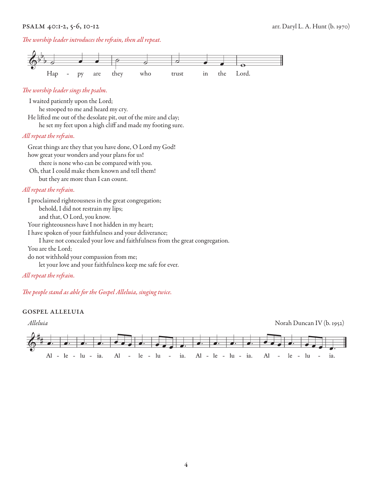## *The worship leader introduces the refrain, then all repeat.*



## *The worship leader sings the psalm.*

 I waited patiently upon the Lord; he stooped to me and heard my cry. He lifted me out of the desolate pit, out of the mire and clay; he set my feet upon a high cliff and made my footing sure.

## *All repeat the refrain.*

Great things are they that you have done, O Lord my God! how great your wonders and your plans for us! there is none who can be compared with you. Oh, that I could make them known and tell them! but they are more than I can count.

## *All repeat the refrain.*

I proclaimed righteousness in the great congregation; behold, I did not restrain my lips; and that, O Lord, you know. Your righteousness have I not hidden in my heart; I have spoken of your faithfulness and your deliverance; I have not concealed your love and faithfulness from the great congregation. You are the Lord;

do not withhold your compassion from me;

let your love and your faithfulness keep me safe for ever.

## *All repeat the refrain.*

*The people stand as able for the Gospel Alleluia, singing twice.* 

## gospel alleluia

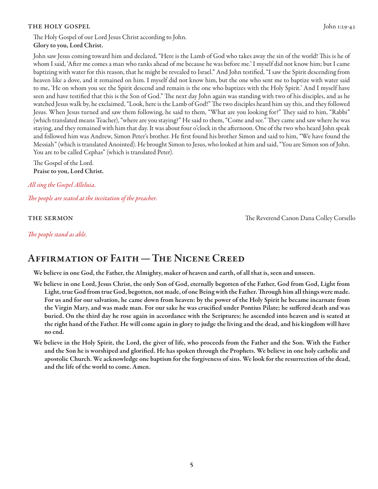## THE HOLY GOSPEL John 1:29-42

The Holy Gospel of our Lord Jesus Christ according to John. Glory to you, Lord Christ.

John saw Jesus coming toward him and declared, "Here is the Lamb of God who takes away the sin of the world! This is he of whom I said, 'After me comes a man who ranks ahead of me because he was before me.' I myself did not know him; but I came baptizing with water for this reason, that he might be revealed to Israel." And John testified, "I saw the Spirit descending from heaven like a dove, and it remained on him. I myself did not know him, but the one who sent me to baptize with water said to me, 'He on whom you see the Spirit descend and remain is the one who baptizes with the Holy Spirit.' And I myself have seen and have testified that this is the Son of God." The next day John again was standing with two of his disciples, and as he watched Jesus walk by, he exclaimed, "Look, here is the Lamb of God!" The two disciples heard him say this, and they followed Jesus. When Jesus turned and saw them following, he said to them, "What are you looking for?" They said to him, "Rabbi" (which translated means Teacher), "where are you staying?" He said to them, "Come and see." They came and saw where he was staying, and they remained with him that day. It was about four o'clock in the afternoon. One of the two who heard John speak and followed him was Andrew, Simon Peter's brother. He first found his brother Simon and said to him, "We have found the Messiah" (which is translated Anointed). He brought Simon to Jesus, who looked at him and said, "You are Simon son of John. You are to be called Cephas" (which is translated Peter).

The Gospel of the Lord. Praise to you, Lord Christ.

*All sing the Gospel Alleluia.*

*The people are seated at the invitation of the preacher.*

THE SERMON THE SERMON SERMON SERMON THE REVERSION THE REVERSION OF THE REVERSION OF THE REVERSION OF THE REVERSION OF THE REVERSION OF THE REVERSION OF THE REVERSION OF THE REVERSION OF THE REVERSION OF THE REVERSION OF TH

*The people stand as able.*

# Affirmation of Faith—The Nicene Creed

We believe in one God, the Father, the Almighty, maker of heaven and earth, of all that is, seen and unseen.

- We believe in one Lord, Jesus Christ, the only Son of God, eternally begotten of the Father, God from God, Light from Light, true God from true God, begotten, not made, of one Being with the Father. Through him all things were made. For us and for our salvation, he came down from heaven: by the power of the Holy Spirit he became incarnate from the Virgin Mary, and was made man. For our sake he was crucified under Pontius Pilate; he suffered death and was buried. On the third day he rose again in accordance with the Scriptures; he ascended into heaven and is seated at the right hand of the Father. He will come again in glory to judge the living and the dead, and his kingdom will have no end.
- We believe in the Holy Spirit, the Lord, the giver of life, who proceeds from the Father and the Son. With the Father and the Son he is worshiped and glorified. He has spoken through the Prophets. We believe in one holy catholic and apostolic Church. We acknowledge one baptism for the forgiveness of sins. We look for the resurrection of the dead, and the life of the world to come. Amen.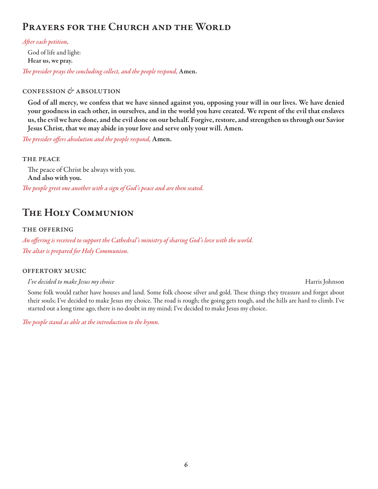# PRAYERS FOR THE CHURCH AND THE WORLD

## *After each petition,*

God of life and light: Hear us, we pray.

*The presider prays the concluding collect, and the people respond,* Amen.

## confession *&* absolution

God of all mercy, we confess that we have sinned against you, opposing your will in our lives. We have denied your goodness in each other, in ourselves, and in the world you have created. We repent of the evil that enslaves us, the evil we have done, and the evil done on our behalf. Forgive, restore, and strengthen us through our Savior Jesus Christ, that we may abide in your love and serve only your will. Amen.

*The presider offers absolution and the people respond,* Amen.

## THE PEACE

The peace of Christ be always with you. And also with you. *The people greet one another with a sign of God's peace and are then seated.*

# The Holy Communion

## the offering

*An offering is received to support the Cathedral's ministry of sharing God's love with the world. The altar is prepared for Holy Communion.* 

## offertory music

*I've decided to make Jesus my choice* Harris Johnson

Some folk would rather have houses and land. Some folk choose silver and gold. These things they treasure and forget about their souls; I've decided to make Jesus my choice. The road is rough; the going gets tough, and the hills are hard to climb. I've started out a long time ago, there is no doubt in my mind; I've decided to make Jesus my choice.

*The people stand as able at the introduction to the hymn.*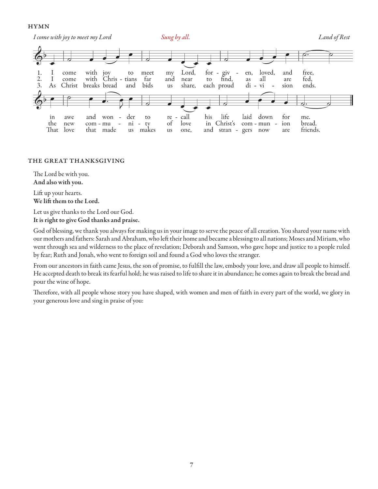#### hymn



## the great thanksgiving

The Lord be with you. And also with you.

Lift up your hearts.

We lift them to the Lord.

Let us give thanks to the Lord our God. It is right to give God thanks and praise.

God of blessing, we thank you always for making us in your image to serve the peace of all creation. You shared your name with our mothers and fathers: Sarah and Abraham, who left their home and became a blessing to all nations; Moses and Miriam, who went through sea and wilderness to the place of revelation; Deborah and Samson, who gave hope and justice to a people ruled by fear; Ruth and Jonah, who went to foreign soil and found a God who loves the stranger.

From our ancestors in faith came Jesus, the son of promise, to fulfill the law, embody your love, and draw all people to himself. He accepted death to break its fearful hold; he was raised to life to share it in abundance; he comes again to break the bread and pour the wine of hope.

Therefore, with all people whose story you have shaped, with women and men of faith in every part of the world, we glory in your generous love and sing in praise of you: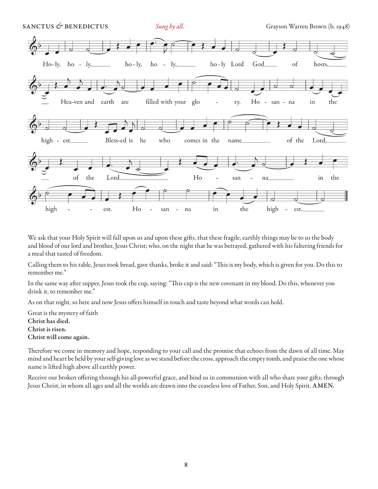SANCTUS & BENEDICTUS *Sung by all.* Grayson Warren Brown (b. 1948)



We ask that your Holy Spirit will fall upon us and upon these gifts, that these fragile, earthly things may be to us the body and blood of our lord and brother, Jesus Christ; who, on the night that he was betrayed, gathered with his faltering friends for a meal that tasted of freedom.

Calling them to his table, Jesus took bread, gave thanks, broke it and said: "This is my body, which is given for you. Do this to remember me."

In the same way after supper, Jesus took the cup, saying: "This cup is the new covenant in my blood. Do this, whenever you drink it, to remember me."

As on that night, so here and now Jesus offers himself in touch and taste beyond what words can hold.

Great is the mystery of faith Christ has died. Christ is risen. Christ will come again.

Therefore we come in memory and hope, responding to your call and the promise that echoes from the dawn of all time. May mind and heart be held by your self-giving love as we stand before the cross, approach the empty tomb, and praise the one whose name is lifted high above all earthly power.

Receive our broken offering through his all-powerful grace, and bind us in communion with all who share your gifts; through Jesus Christ, in whom all ages and all the worlds are drawn into the ceaseless love of Father, Son, and Holy Spirit. AMEN.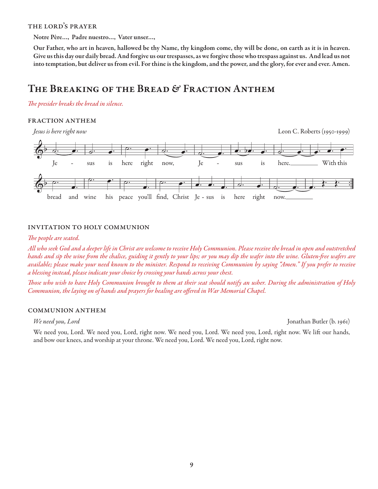## the lord's prayer

Notre Père…, Padre nuestro…, Vater unser…,

Our Father, who art in heaven, hallowed be thy Name, thy kingdom come, thy will be done, on earth as it is in heaven. Give us this day our daily bread. And forgive us our trespasses, as we forgive those who trespass against us. And lead us not into temptation, but deliver us from evil. For thine is the kingdom, and the power, and the glory, for ever and ever. Amen.

# The Breaking of the Bread & Fraction Anthem

*The presider breaks the bread in silence.* 

#### fraction anthem

*Jesus is here right now* Leon C. Roberts (1950-1999) here right Je here. With this Je sus is now, sus is bread and wine his peace you'll find, Christ Je - sus is here right now.

## invitation to holy communion

## *The people are seated.*

*All who seek God and a deeper life in Christ are welcome to receive Holy Communion. Please receive the bread in open and outstretched hands and sip the wine from the chalice, guiding it gently to your lips; or you may dip the wafer into the wine. Gluten-free wafers are available; please make your need known to the minister. Respond to receiving Communion by saying "Amen." If you prefer to receive a blessing instead, please indicate your choice by crossing your hands across your chest.* 

*Those who wish to have Holy Communion brought to them at their seat should notify an usher. During the administration of Holy Communion, the laying on of hands and prayers for healing are offered in War Memorial Chapel.*

## communion anthem

*We need you, Lord* Jonathan Butler (b. 1961)

We need you, Lord. We need you, Lord, right now. We need you, Lord. We need you, Lord, right now. We lift our hands, and bow our knees, and worship at your throne. We need you, Lord. We need you, Lord, right now.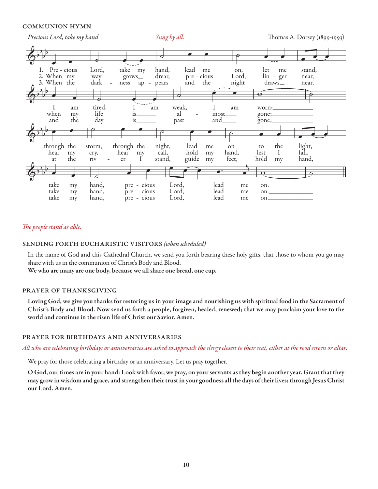#### communion hymn



## *The people stand as able.*

## sending forth eucharistic visitors *(when scheduled)*

In the name of God and this Cathedral Church, we send you forth bearing these holy gifts, that those to whom you go may share with us in the communion of Christ's Body and Blood.

We who are many are one body, because we all share one bread, one cup.

## prayer of thanksgiving

Loving God, we give you thanks for restoring us in your image and nourishing us with spiritual food in the Sacrament of Christ's Body and Blood. Now send us forth a people, forgiven, healed, renewed; that we may proclaim your love to the world and continue in the risen life of Christ our Savior. Amen.

## prayer for birthdays and anniversaries

*All who are celebrating birthdays or anniversaries are asked to approach the clergy closest to their seat, either at the rood screen or altar.*

We pray for those celebrating a birthday or an anniversary. Let us pray together.

O God, our times are in your hand: Look with favor, we pray, on your servants as they begin another year. Grant that they may grow in wisdom and grace, and strengthen their trust in your goodness all the days of their lives; through Jesus Christ our Lord. Amen.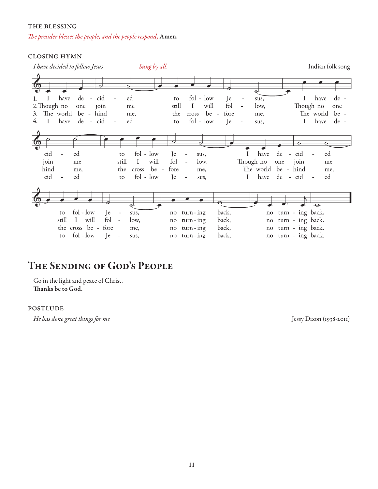## the blessing

*The presider blesses the people, and the people respond,* Amen.

## closing hymn



## The Sending of God's People

Go in the light and peace of Christ. Thanks be to God.

#### **POSTLUDE**

*He has done great things for me* Jessy Dixon (1938-2011)